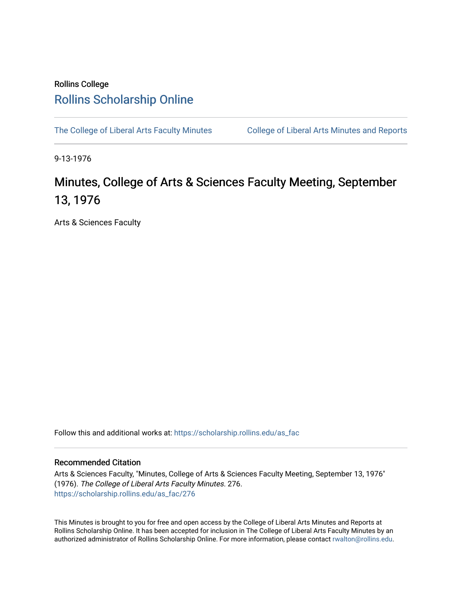## Rollins College [Rollins Scholarship Online](https://scholarship.rollins.edu/)

[The College of Liberal Arts Faculty Minutes](https://scholarship.rollins.edu/as_fac) College of Liberal Arts Minutes and Reports

9-13-1976

## Minutes, College of Arts & Sciences Faculty Meeting, September 13, 1976

Arts & Sciences Faculty

Follow this and additional works at: [https://scholarship.rollins.edu/as\\_fac](https://scholarship.rollins.edu/as_fac?utm_source=scholarship.rollins.edu%2Fas_fac%2F276&utm_medium=PDF&utm_campaign=PDFCoverPages) 

## Recommended Citation

Arts & Sciences Faculty, "Minutes, College of Arts & Sciences Faculty Meeting, September 13, 1976" (1976). The College of Liberal Arts Faculty Minutes. 276. [https://scholarship.rollins.edu/as\\_fac/276](https://scholarship.rollins.edu/as_fac/276?utm_source=scholarship.rollins.edu%2Fas_fac%2F276&utm_medium=PDF&utm_campaign=PDFCoverPages) 

This Minutes is brought to you for free and open access by the College of Liberal Arts Minutes and Reports at Rollins Scholarship Online. It has been accepted for inclusion in The College of Liberal Arts Faculty Minutes by an authorized administrator of Rollins Scholarship Online. For more information, please contact [rwalton@rollins.edu](mailto:rwalton@rollins.edu).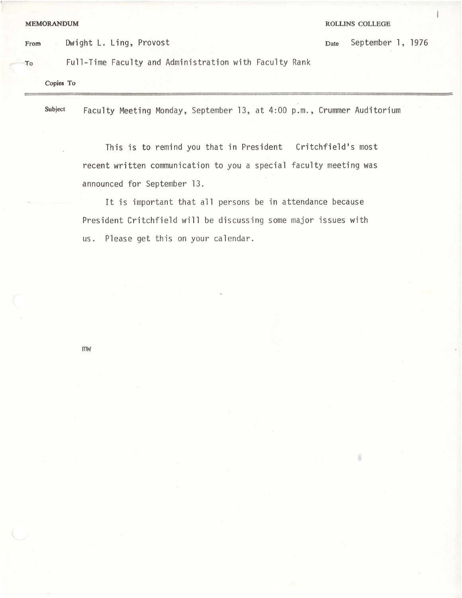**MEMORANDUM ROLLINS COLLEGE** 

¢

From Dwight L. Ling, Provost Date September 1, 1976

To Full-Time Faculty and Administration with Faculty Rank

**Copies To** 

Subject Faculty Meeting Monday, September 13, at 4:00 p.m., Crummer Auditorium

This is to remind you that in President Critchfield's most recent written communication to you a special faculty meeting was announced for September 13.

It is important that all persons be in attendance because President Critchfield will be discussing some major issues with us. Please get this on your calendar.

mw